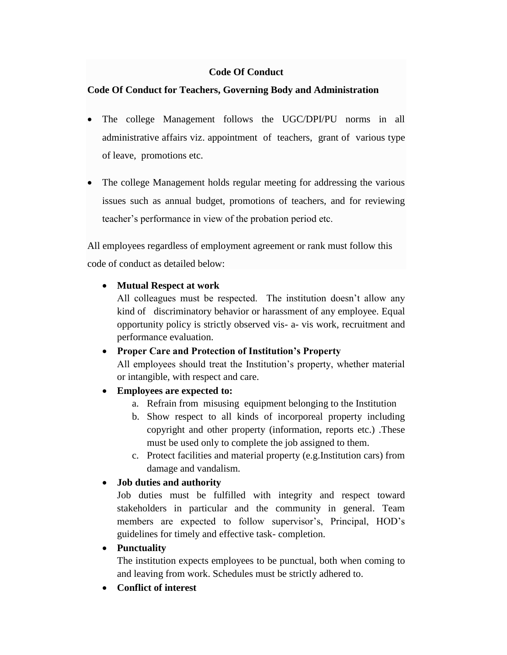#### **Code Of Conduct**

#### **Code Of Conduct for Teachers, Governing Body and Administration**

- The college Management follows the UGC/DPI/PU norms in all administrative affairs viz. appointment of teachers, grant of various type of leave, promotions etc.
- The college Management holds regular meeting for addressing the various issues such as annual budget, promotions of teachers, and for reviewing teacher's performance in view of the probation period etc.

All employees regardless of employment agreement or rank must follow this code of conduct as detailed below:

## **Mutual Respect at work**

All colleagues must be respected. The institution doesn't allow any kind of discriminatory behavior or harassment of any employee. Equal opportunity policy is strictly observed vis- a- vis work, recruitment and performance evaluation.

## **Proper Care and Protection of Institution's Property**

All employees should treat the Institution's property, whether material or intangible, with respect and care.

## **Employees are expected to:**

- a. Refrain from misusing equipment belonging to the Institution
- b. Show respect to all kinds of incorporeal property including copyright and other property (information, reports etc.) .These must be used only to complete the job assigned to them.
- c. Protect facilities and material property (e.g.Institution cars) from damage and vandalism.

## **Job duties and authority**

Job duties must be fulfilled with integrity and respect toward stakeholders in particular and the community in general. Team members are expected to follow supervisor's, Principal, HOD's guidelines for timely and effective task- completion.

## **Punctuality**

The institution expects employees to be punctual, both when coming to and leaving from work. Schedules must be strictly adhered to.

**Conflict of interest**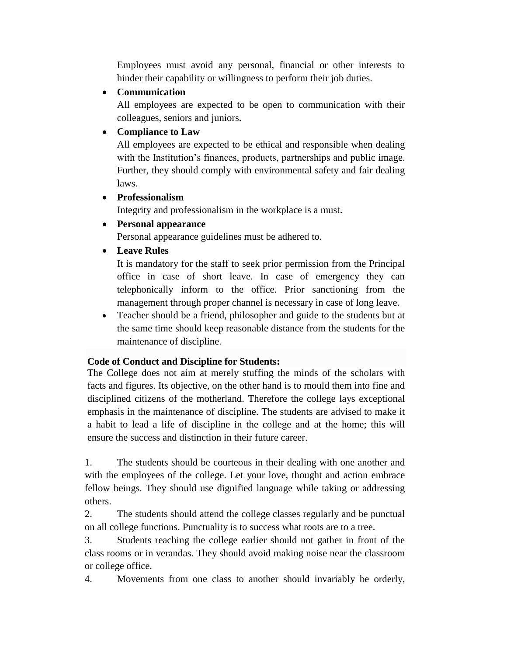Employees must avoid any personal, financial or other interests to hinder their capability or willingness to perform their job duties.

**Communication**

All employees are expected to be open to communication with their colleagues, seniors and juniors.

## **Compliance to Law**

All employees are expected to be ethical and responsible when dealing with the Institution's finances, products, partnerships and public image. Further, they should comply with environmental safety and fair dealing laws.

## **Professionalism**

Integrity and professionalism in the workplace is a must.

**Personal appearance**

Personal appearance guidelines must be adhered to.

**Leave Rules**

It is mandatory for the staff to seek prior permission from the Principal office in case of short leave. In case of emergency they can telephonically inform to the office. Prior sanctioning from the management through proper channel is necessary in case of long leave.

 Teacher should be a friend, philosopher and guide to the students but at the same time should keep reasonable distance from the students for the maintenance of discipline.

# **Code of Conduct and Discipline for Students:**

The College does not aim at merely stuffing the minds of the scholars with facts and figures. Its objective, on the other hand is to mould them into fine and disciplined citizens of the motherland. Therefore the college lays exceptional emphasis in the maintenance of discipline. The students are advised to make it a habit to lead a life of discipline in the college and at the home; this will ensure the success and distinction in their future career.

1. The students should be courteous in their dealing with one another and with the employees of the college. Let your love, thought and action embrace fellow beings. They should use dignified language while taking or addressing others.

2. The students should attend the college classes regularly and be punctual on all college functions. Punctuality is to success what roots are to a tree.

3. Students reaching the college earlier should not gather in front of the class rooms or in verandas. They should avoid making noise near the classroom or college office.

4. Movements from one class to another should invariably be orderly,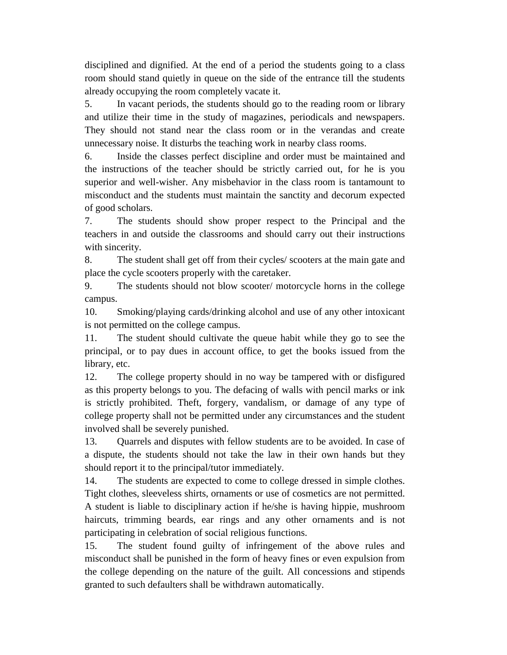disciplined and dignified. At the end of a period the students going to a class room should stand quietly in queue on the side of the entrance till the students already occupying the room completely vacate it.

5. In vacant periods, the students should go to the reading room or library and utilize their time in the study of magazines, periodicals and newspapers. They should not stand near the class room or in the verandas and create unnecessary noise. It disturbs the teaching work in nearby class rooms.

6. Inside the classes perfect discipline and order must be maintained and the instructions of the teacher should be strictly carried out, for he is you superior and well-wisher. Any misbehavior in the class room is tantamount to misconduct and the students must maintain the sanctity and decorum expected of good scholars.

7. The students should show proper respect to the Principal and the teachers in and outside the classrooms and should carry out their instructions with sincerity.

8. The student shall get off from their cycles/ scooters at the main gate and place the cycle scooters properly with the caretaker.

9. The students should not blow scooter/ motorcycle horns in the college campus.

10. Smoking/playing cards/drinking alcohol and use of any other intoxicant is not permitted on the college campus.

11. The student should cultivate the queue habit while they go to see the principal, or to pay dues in account office, to get the books issued from the library, etc.

12. The college property should in no way be tampered with or disfigured as this property belongs to you. The defacing of walls with pencil marks or ink is strictly prohibited. Theft, forgery, vandalism, or damage of any type of college property shall not be permitted under any circumstances and the student involved shall be severely punished.

13. Quarrels and disputes with fellow students are to be avoided. In case of a dispute, the students should not take the law in their own hands but they should report it to the principal/tutor immediately.

14. The students are expected to come to college dressed in simple clothes. Tight clothes, sleeveless shirts, ornaments or use of cosmetics are not permitted. A student is liable to disciplinary action if he/she is having hippie, mushroom haircuts, trimming beards, ear rings and any other ornaments and is not participating in celebration of social religious functions.

15. The student found guilty of infringement of the above rules and misconduct shall be punished in the form of heavy fines or even expulsion from the college depending on the nature of the guilt. All concessions and stipends granted to such defaulters shall be withdrawn automatically.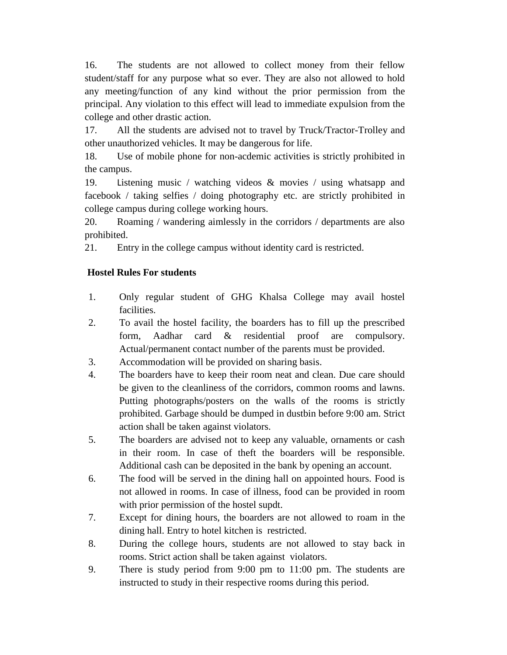16. The students are not allowed to collect money from their fellow student/staff for any purpose what so ever. They are also not allowed to hold any meeting/function of any kind without the prior permission from the principal. Any violation to this effect will lead to immediate expulsion from the college and other drastic action.

17. All the students are advised not to travel by Truck/Tractor-Trolley and other unauthorized vehicles. It may be dangerous for life.

18. Use of mobile phone for non-acdemic activities is strictly prohibited in the campus.

19. Listening music / watching videos & movies / using whatsapp and facebook / taking selfies / doing photography etc. are strictly prohibited in college campus during college working hours.

20. Roaming / wandering aimlessly in the corridors / departments are also prohibited.

21. Entry in the college campus without identity card is restricted.

# **Hostel Rules For students**

- 1. Only regular student of GHG Khalsa College may avail hostel facilities.
- 2. To avail the hostel facility, the boarders has to fill up the prescribed form, Aadhar card & residential proof are compulsory. Actual/permanent contact number of the parents must be provided.
- 3. Accommodation will be provided on sharing basis.
- 4. The boarders have to keep their room neat and clean. Due care should be given to the cleanliness of the corridors, common rooms and lawns. Putting photographs/posters on the walls of the rooms is strictly prohibited. Garbage should be dumped in dustbin before 9:00 am. Strict action shall be taken against violators.
- 5. The boarders are advised not to keep any valuable, ornaments or cash in their room. In case of theft the boarders will be responsible. Additional cash can be deposited in the bank by opening an account.
- 6. The food will be served in the dining hall on appointed hours. Food is not allowed in rooms. In case of illness, food can be provided in room with prior permission of the hostel supdt.
- 7. Except for dining hours, the boarders are not allowed to roam in the dining hall. Entry to hotel kitchen is restricted.
- 8. During the college hours, students are not allowed to stay back in rooms. Strict action shall be taken against violators.
- 9. There is study period from 9:00 pm to 11:00 pm. The students are instructed to study in their respective rooms during this period.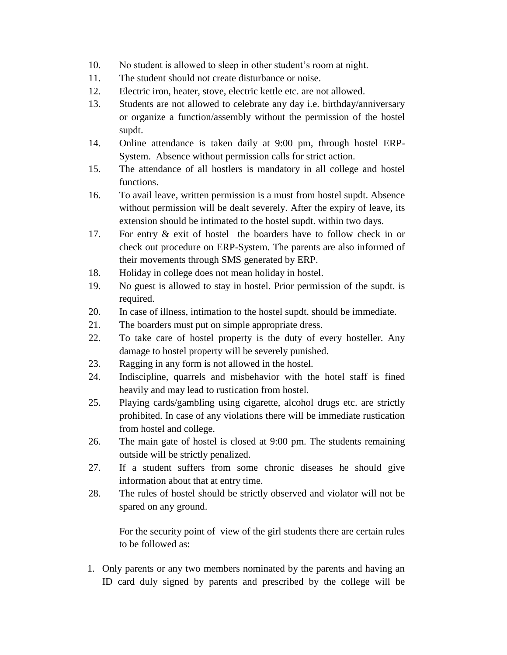- 10. No student is allowed to sleep in other student's room at night.
- 11. The student should not create disturbance or noise.
- 12. Electric iron, heater, stove, electric kettle etc. are not allowed.
- 13. Students are not allowed to celebrate any day i.e. birthday/anniversary or organize a function/assembly without the permission of the hostel supdt.
- 14. Online attendance is taken daily at 9:00 pm, through hostel ERP-System. Absence without permission calls for strict action.
- 15. The attendance of all hostlers is mandatory in all college and hostel functions.
- 16. To avail leave, written permission is a must from hostel supdt. Absence without permission will be dealt severely. After the expiry of leave, its extension should be intimated to the hostel supdt. within two days.
- 17. For entry & exit of hostel the boarders have to follow check in or check out procedure on ERP-System. The parents are also informed of their movements through SMS generated by ERP.
- 18. Holiday in college does not mean holiday in hostel.
- 19. No guest is allowed to stay in hostel. Prior permission of the supdt. is required.
- 20. In case of illness, intimation to the hostel supdt. should be immediate.
- 21. The boarders must put on simple appropriate dress.
- 22. To take care of hostel property is the duty of every hosteller. Any damage to hostel property will be severely punished.
- 23. Ragging in any form is not allowed in the hostel.
- 24. Indiscipline, quarrels and misbehavior with the hotel staff is fined heavily and may lead to rustication from hostel.
- 25. Playing cards/gambling using cigarette, alcohol drugs etc. are strictly prohibited. In case of any violations there will be immediate rustication from hostel and college.
- 26. The main gate of hostel is closed at 9:00 pm. The students remaining outside will be strictly penalized.
- 27. If a student suffers from some chronic diseases he should give information about that at entry time.
- 28. The rules of hostel should be strictly observed and violator will not be spared on any ground.

For the security point of view of the girl students there are certain rules to be followed as:

1. Only parents or any two members nominated by the parents and having an ID card duly signed by parents and prescribed by the college will be